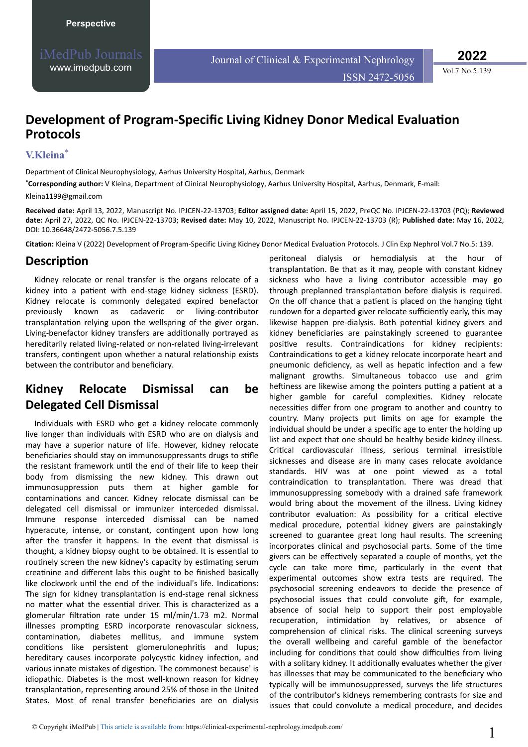**2022**

Vol.7 No.5:139

## **Development of Program-Specific Living Kidney Donor Medical Evaluation Protocols**

#### **V.Kleina**\*

Department of Clinical Neurophysiology, Aarhus University Hospital, Aarhus, Denmark

**\*Corresponding author:** V Kleina, Department of Clinical Neurophysiology, Aarhus University Hospital, Aarhus, Denmark, E-mail: [Kleina1199@gmail.com](mailto:Kleina1199@gmail.com)

**Received date:** April 13, 2022, Manuscript No. IPJCEN-22-13703; **Editor assigned date:** April 15, 2022, PreQC No. IPJCEN-22-13703 (PQ); **Reviewed date:** April 27, 2022, QC No. IPJCEN-22-13703; **Revised date:** May 10, 2022, Manuscript No. IPJCEN-22-13703 (R); **Published date:** May 16, 2022, DOI: 10.36648/2472-5056.7.5.139

Citation: Kleina V (2022) Development of Program-Specific Living Kidney Donor Medical Evaluation Protocols. J Clin Exp Nephrol Vol.7 No.5: 139.

### Description

Kidney relocate or renal transfer is the organs relocate of a kidney into a patient with end-stage kidney sickness (ESRD). Kidney relocate is commonly delegated expired benefactor previously known as cadaveric or living-contributor transplantation relying upon the wellspring of the giver organ. Living-benefactor kidney transfers are additionally portrayed as hereditarily related living-related or non-related living-irrelevant transfers, contingent upon whether a natural relationship exists between the contributor and beneficiary.

## **Kidney Relocate Dismissal can be Delegated Cell Dismissal**

Individuals with ESRD who get a kidney relocate commonly live longer than individuals with ESRD who are on dialysis and may have a superior nature of life. However, kidney relocate beneficiaries should stay on immunosuppressants drugs to stifle the resistant framework until the end of their life to keep their body from dismissing the new kidney. This drawn out immunosuppression puts them at higher gamble for contaminations and cancer. Kidney relocate dismissal can be delegated cell dismissal or immunizer interceded dismissal. Immune response interceded dismissal can be named hyperacute, intense, or constant, contingent upon how long after the transfer it happens. In the event that dismissal is thought, a kidney biopsy ought to be obtained. It is essential to routinely screen the new kidney's capacity by estimating serum creatinine and different labs this ought to be finished basically like clockwork until the end of the individual's life. Indications: The sign for kidney transplantation is end-stage renal sickness no matter what the essential driver. This is characterized as a glomerular filtration rate under 15 ml/min/1.73 m2. Normal illnesses prompting ESRD incorporate renovascular sickness, contamination, diabetes mellitus, and immune system conditions like persistent glomerulonephritis and lupus; hereditary causes incorporate polycystic kidney infection, and various innate mistakes of digestion. The commonest because' is idiopathic. Diabetes is the most well-known reason for kidney transplantation, representing around 25% of those in the United States. Most of renal transfer beneficiaries are on dialysis

peritoneal dialysis or hemodialysis at the hour of transplantation. Be that as it may, people with constant kidney sickness who have a living contributor accessible may go through preplanned transplantation before dialysis is required. On the off chance that a patient is placed on the hanging tight rundown for a departed giver relocate sufficiently early, this may likewise happen pre-dialysis. Both potential kidney givers and kidney beneficiaries are painstakingly screened to guarantee positive results. Contraindications for kidney recipients: Contraindications to get a kidney relocate incorporate heart and pneumonic deficiency, as well as hepatic infection and a few malignant growths. Simultaneous tobacco use and grim heftiness are likewise among the pointers putting a patient at a higher gamble for careful complexities. Kidney relocate necessities differ from one program to another and country to country. Many projects put limits on age for example the individual should be under a specific age to enter the holding up list and expect that one should be healthy beside kidney illness. Critical cardiovascular illness, serious terminal irresistible sicknesses and disease are in many cases relocate avoidance standards. HIV was at one point viewed as a total contraindication to transplantation. There was dread that immunosuppressing somebody with a drained safe framework would bring about the movement of the illness. Living kidney contributor evaluation: As possibility for a critical elective medical procedure, potential kidney givers are painstakingly screened to guarantee great long haul results. The screening incorporates clinical and psychosocial parts. Some of the time givers can be effectively separated a couple of months, yet the cycle can take more time, particularly in the event that experimental outcomes show extra tests are required. The psychosocial screening endeavors to decide the presence of psychosocial issues that could convolute gift, for example, absence of social help to support their post employable recuperation, intimidation by relatives, or absence of comprehension of clinical risks. The clinical screening surveys the overall wellbeing and careful gamble of the benefactor including for conditions that could show difficulties from living with a solitary kidney. It additionally evaluates whether the giver has illnesses that may be communicated to the beneficiary who typically will be immunosuppressed, surveys the life structures of the contributor's kidneys remembering contrasts for size and issues that could convolute a medical procedure, and decides